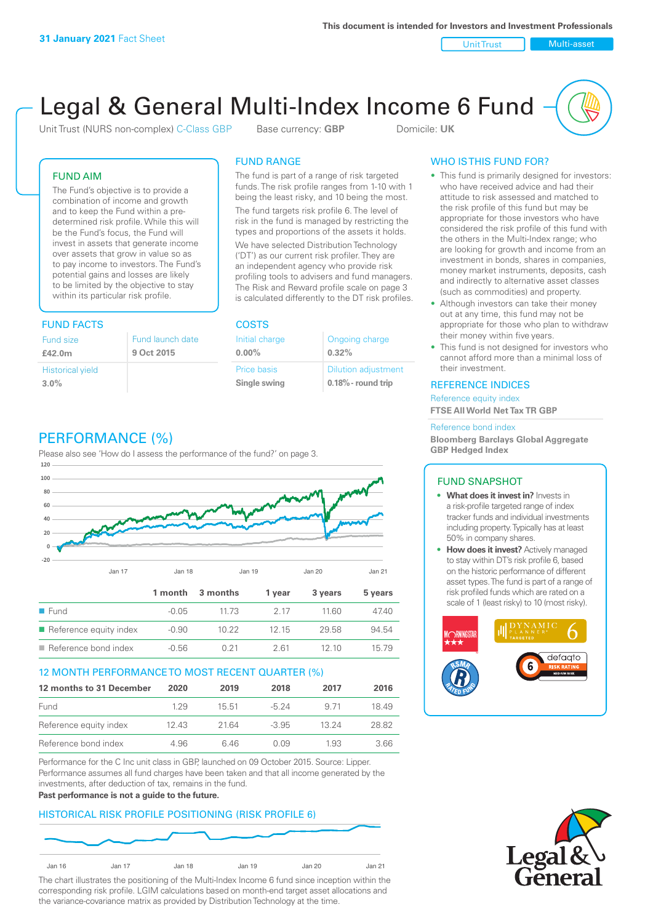Unit Trust Nulti-asset

# Legal & General Multi-Index Income 6 Fund

Unit Trust (NURS non-complex) C-Class GBP Base currency: **GBP** Domicile: UK

### FUND AIM

The Fund's objective is to provide a combination of income and growth and to keep the Fund within a predetermined risk profile. While this will be the Fund's focus, the Fund will invest in assets that generate income over assets that grow in value so as to pay income to investors. The Fund's potential gains and losses are likely to be limited by the objective to stay within its particular risk profile.

### FUND FACTS COSTS

| Fund size<br>£42.0m     | Fund launch date<br>9 Oct 2015 |
|-------------------------|--------------------------------|
| <b>Historical yield</b> |                                |
| 3.0%                    |                                |

### FUND RANGE

The fund is part of a range of risk targeted funds. The risk profile ranges from 1-10 with 1 being the least risky, and 10 being the most.

The fund targets risk profile 6. The level of risk in the fund is managed by restricting the types and proportions of the assets it holds. We have selected Distribution Technology ('DT') as our current risk profiler. They are an independent agency who provide risk profiling tools to advisers and fund managers. The Risk and Reward profile scale on page 3 is calculated differently to the DT risk profiles.

**0.00%**

| Initial charge     | Ongoing charge             |
|--------------------|----------------------------|
| $0.00\%$           | 0.32%                      |
| <b>Price basis</b> | <b>Dilution adjustment</b> |
| Single swing       | $0.18\%$ - round trip      |

### PERFORMANCE (%)

Please also see 'How do I assess the performance of the fund?' on page 3.



### 12 MONTH PERFORMANCE TO MOST RECENT QUARTER (%)

| 12 months to 31 December | 2020 | 2019  | 2018    | 2017  | 2016  |
|--------------------------|------|-------|---------|-------|-------|
| Fund                     | 129  | 15.51 | $-5.24$ | 9 71  | 1849  |
| Reference equity index   | 1243 | 21.64 | $-3.95$ | 13.24 | 28.82 |
| Reference bond index     | 4.96 | 646   | O 0.9   | 1.93  | 3.66  |

Performance for the C Inc unit class in GBP, launched on 09 October 2015. Source: Lipper. Performance assumes all fund charges have been taken and that all income generated by the investments, after deduction of tax, remains in the fund.

#### **Past performance is not a guide to the future.**

### HISTORICAL RISK PROFILE POSITIONING (RISK PROFILE 6)



The chart illustrates the positioning of the Multi-Index Income 6 fund since inception within the corresponding risk profile. LGIM calculations based on month-end target asset allocations and the variance-covariance matrix as provided by Distribution Technology at the time.

### WHO IS THIS FUND FOR?

- This fund is primarily designed for investors: who have received advice and had their attitude to risk assessed and matched to the risk profile of this fund but may be appropriate for those investors who have considered the risk profile of this fund with the others in the Multi-Index range; who are looking for growth and income from an investment in bonds, shares in companies, money market instruments, deposits, cash and indirectly to alternative asset classes (such as commodities) and property.
- Although investors can take their money out at any time, this fund may not be appropriate for those who plan to withdraw their money within five years.
- This fund is not designed for investors who cannot afford more than a minimal loss of their investment.

### REFERENCE INDICES

Reference equity index **FTSE All World Net Tax TR GBP**

#### Reference bond index

**Bloomberg Barclays Global Aggregate GBP Hedged Index**

### FUND SNAPSHOT

- **• What does it invest in?** Invests in a risk-profile targeted range of index tracker funds and individual investments including property. Typically has at least 50% in company shares.
- **• How does it invest?** Actively managed to stay within DT's risk profile 6, based on the historic performance of different asset types. The fund is part of a range of risk profiled funds which are rated on a scale of 1 (least risky) to 10 (most risky).



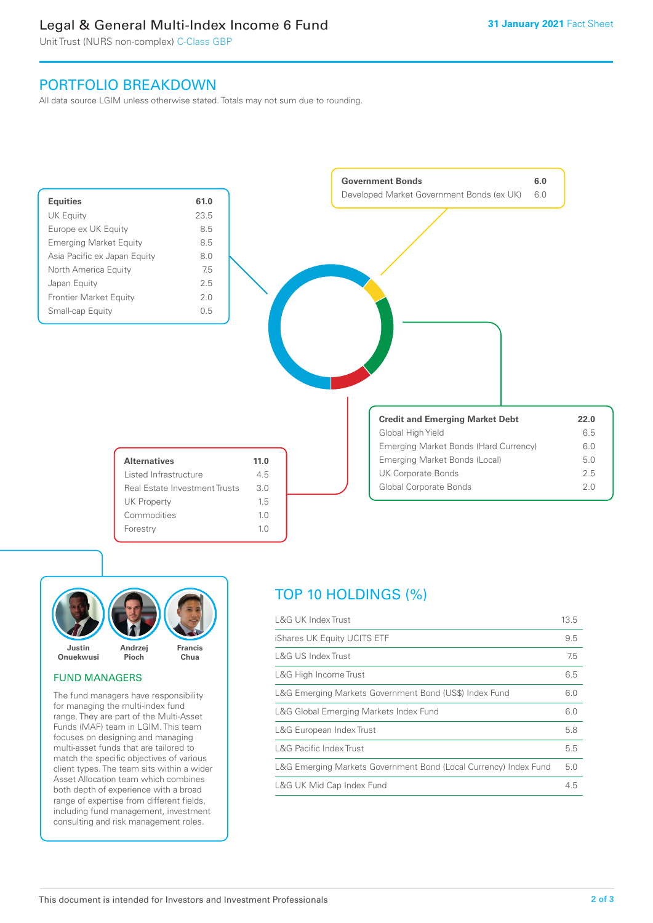### Legal & General Multi-Index Income 6 Fund

Unit Trust (NURS non-complex) C-Class GBP

### PORTFOLIO BREAKDOWN

All data source LGIM unless otherwise stated. Totals may not sum due to rounding.





### FUND MANAGERS

The fund managers have responsibility for managing the multi-index fund range. They are part of the Multi-Asset Funds (MAF) team in LGIM. This team focuses on designing and managing multi-asset funds that are tailored to match the specific objectives of various client types. The team sits within a wider Asset Allocation team which combines both depth of experience with a broad range of expertise from different fields, including fund management, investment consulting and risk management roles.

## TOP 10 HOLDINGS (%)

| L&G UK Index Trust                                               | 13.5 |
|------------------------------------------------------------------|------|
| iShares UK Equity UCITS ETF                                      | 9.5  |
| <b>L&amp;G US Index Trust</b>                                    | 7.5  |
| L&G High Income Trust                                            | 6.5  |
| L&G Emerging Markets Government Bond (US\$) Index Fund           | 6.0  |
| L&G Global Emerging Markets Index Fund                           | 6.0  |
| L&G European Index Trust                                         | 5.8  |
| <b>L&amp;G Pacific Index Trust</b>                               | 5.5  |
| L&G Emerging Markets Government Bond (Local Currency) Index Fund | 5.0  |
| L&G UK Mid Cap Index Fund                                        | 4.5  |